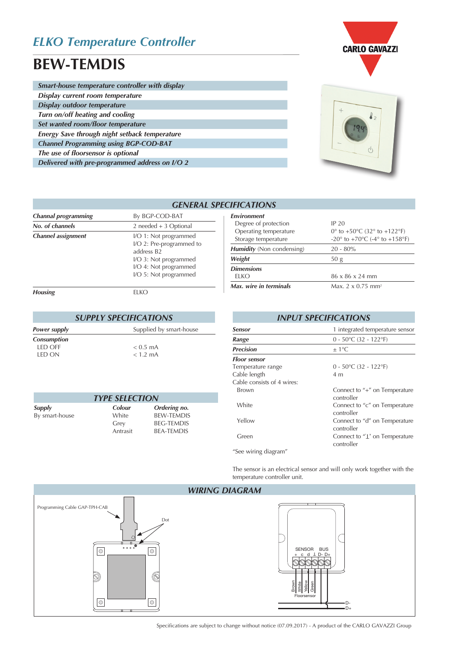## *ELKO Temperature Controller*

# **BEW-TEMDIS**

I

| Smart-house temperature controller with display |
|-------------------------------------------------|
| Display current room temperature                |
| Display outdoor temperature                     |
| Turn on/off heating and cooling                 |
| Set wanted room/floor temperature               |
| Energy Save through night setback temperature   |
| <b>Channel Programming using BGP-COD-BAT</b>    |
| The use of floorsensor is optional              |
| Delivered with pre-programmed address on I/O 2  |



**CARLO GAVAZZI** 

|                                              |                                                                 | <b>GENERAL SPECIFICATIONS</b>         |
|----------------------------------------------|-----------------------------------------------------------------|---------------------------------------|
| <b>Channal programming</b>                   | By BGP-COD-BAT                                                  | <b>Environment</b><br>Degree of prote |
| No. of channels<br><b>Channel assignment</b> | $2$ needed + 3 Optional<br>I/O 1: Not programmed                | Operating temp<br>Storage tempera     |
|                                              | I/O 2: Pre-programmed to<br>address B2<br>I/O 3: Not programmed | Humidity (Non co<br>Weight            |
|                                              | I/O 4: Not programmed<br>I/O 5: Not programmed                  | <b>Dimensions</b><br><b>ELKO</b>      |
| <b>Housing</b>                               | <b>ELKO</b>                                                     | Max. wire in tern                     |

| <b>SUPPLY SPECIFICATIONS</b> |                         |  |
|------------------------------|-------------------------|--|
| Power supply                 | Supplied by smart-house |  |
| Consumption                  |                         |  |
| LED OFF                      | $< 0.5$ mA              |  |
| LED ON                       | $< 1.2$ mA              |  |

| <b>TYPE SELECTION</b> |          |                   |  |
|-----------------------|----------|-------------------|--|
| Supply                | Colour   | Ordering no.      |  |
| By smart-house        | White    | <b>BEW-TEMDIS</b> |  |
|                       | Grey     | <b>BEG-TEMDIS</b> |  |
|                       | Antrasit | <b>BEA-TEMDIS</b> |  |

| <b>Environment</b>               |                                                                     |
|----------------------------------|---------------------------------------------------------------------|
| Degree of protection             | IP 20                                                               |
| Operating temperature            | 0° to +50°C (32° to +122°F)                                         |
| Storage temperature              | -20 $\degree$ to +70 $\degree$ C (-4 $\degree$ to +158 $\degree$ F) |
| <b>Humidity</b> (Non condensing) | $20 - 80\%$                                                         |
| Weight                           | 50 <sub>g</sub>                                                     |
| <b>Dimensions</b>                |                                                                     |
| ELKO.                            | $86 \times 86 \times 24$ mm                                         |
| Max. wire in terminals           | Max. $2 \times 0.75$ mm <sup>2</sup>                                |
|                                  |                                                                     |

| <b>INPUT SPECIFICATIONS</b> |                                                     |  |
|-----------------------------|-----------------------------------------------------|--|
| Sensor                      | 1 integrated temperature sensor                     |  |
| Range                       | $0 - 50^{\circ}$ C (32 - 122°F)                     |  |
| <b>Precision</b>            | $\pm$ 1 °C.                                         |  |
| <b>Floor sensor</b>         |                                                     |  |
| Temperature range           | $0 - 50^{\circ}$ C (32 - 122°F)                     |  |
| Cable length                | 4 m                                                 |  |
| Cable consists of 4 wires:  |                                                     |  |
| Brown                       | Connect to "+" on Temperature<br>controller         |  |
| White                       | Connect to "c" on Temperature<br>controller         |  |
| Yellow                      | Connect to "d" on Temperature<br>controller         |  |
| Green                       | Connect to $T_{\perp}$ on Temperature<br>controller |  |
| "See wiring diagram"        |                                                     |  |

The sensor is an electrical sensor and will only work together with the temperature controller unit.



Specifications are subject to change without notice (07.09.2017) - A product of the CARLO GAVAZZI Group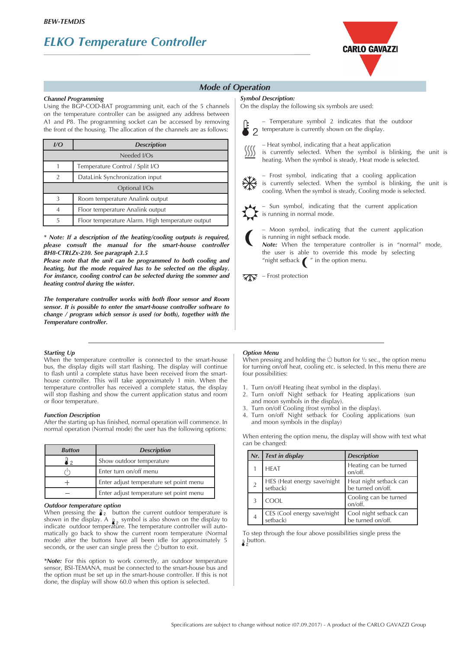## *ELKO Temperature Controller*



### *Mode of Operation*

### *Channel Programming*

Using the BGP-COD-BAT programming unit, each of the 5 channels on the temperature controller can be assigned any address between A1 and P8. The programming socket can be accessed by removing the front of the housing. The allocation of the channels are as follows:

| UQ            | <b>Description</b>                               |  |
|---------------|--------------------------------------------------|--|
| Needed I/Os   |                                                  |  |
|               | Temperature Control / Split I/O                  |  |
| $\mathcal{P}$ | DataLink Synchronization input                   |  |
| Optional I/Os |                                                  |  |
| $\mathbf{3}$  | Room temperature Analink output                  |  |
| 4             | Floor temperature Analink output                 |  |
| 5             | Floor temperature Alarm. High temperature output |  |

*\* Note: If a description of the heating/cooling outputs is required, please consult the manual for the smart-house controller BH8-CTRLZx-230. See paragraph 2.3.5*

*Please note that the unit can be programmed to both cooling and heating, but the mode required has to be selected on the display. For instance, cooling control can be selected during the sommer and heating control during the winter.*

*The temperature controller works with both floor sensor and Room sensor. It is possible to enter the smart-house controller software to change / program which sensor is used (or both), together with the Temperature controller.*

#### *Starting Up*

When the temperature controller is connected to the smart-house bus, the display digits will start flashing. The display will continue to flash until a complete status have been received from the smarthouse controller. This will take approximately 1 min. When the temperature controller has received a complete status, the display will stop flashing and show the current application status and room or floor temperature.

#### *Function Description*

After the starting up has finished, normal operation will commence. In normal operation (Normal mode) the user has the following options:

| <b>Button</b> | <b>Description</b>                      |
|---------------|-----------------------------------------|
| 「?            | Show outdoor temperature                |
|               | Enter turn on/off menu                  |
|               | Enter adjust temperature set point menu |
|               | Enter adjust temperature set point menu |

#### *Outdoor temperature option*

When pressing the  $\frac{1}{2}$  button the current outdoor temperature is shown in the display. A  $_{\mathbf{g}}$  symbol is also shown on the display to indicate outdoor temperature. The temperature controller will automatically go back to show the current room temperature (Normal mode) after the buttons have all been idle for approximately 5 seconds, or the user can single press the  $\bigcirc$  button to exit.

*\*Note:* For this option to work correctly, an outdoor temperature sensor, BSI-TEMANA, must be connected to the smart-house bus and the option must be set up in the smart-house controller. If this is not done, the display will show 60.0 when this option is selected.

#### *Symbol Description:*

On the display the following six symbols are used:



 – Temperature symbol 2 indicates that the outdoor temperature is currently shown on the display.

 – Heat symbol, indicating that a heat application is currently selected. When the symbol is blinking, the unit is heating. When the symbol is steady, Heat mode is selected.

 – Frost symbol, indicating that a cooling application is currently selected. When the symbol is blinking, the unit is cooling. When the symbol is steady, Cooling mode is selected.

 – Sun symbol, indicating that the current application  $\sum$  is running in normal mode.



 – Moon symbol, indicating that the current application is running in night setback mode.

 *Note:* When the temperature controller is in "normal" mode, the user is able to override this mode by selecting "night setback  $\bigcap$ " in the option menu.



#### *Option Menu*

When pressing and holding the  $\circlearrowright$  button for 1/2 sec., the option menu for turning on/off heat, cooling etc. is selected. In this menu there are four possibilities:

- 1. Turn on/off Heating (heat symbol in the display).
- 2. Turn on/off Night setback for Heating applications (sun and moon symbols in the display).<br>3. Turn on/off Cooling (frost symbol is
- Turn on/off Cooling (frost symbol in the display).
- 4. Turn on/off Night setback for Cooling applications (sun and moon symbols in the display)

When entering the option menu, the display will show with text what can be changed:

| Nr. | <b>Text in display</b>                  | <b>Description</b>                          |
|-----|-----------------------------------------|---------------------------------------------|
|     | <b>HFAT</b>                             | Heating can be turned<br>on/off.            |
|     | HES (Heat energy save/night<br>setback) | Heat night setback can<br>be turned on/off. |
| 3   | COOL                                    | Cooling can be turned<br>on/off.            |
|     | CES (Cool energy save/night<br>setback) | Cool night setback can<br>be turned on/off. |

To step through the four above possibilities single press the **p** button.